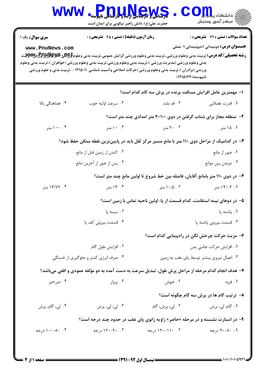| <b>WWW</b>                                                                                        | Pnulkews<br>حضرت علی(ع): دانش راهبر نیکویی برای ایمان است                                                                                                                                                                                                                                                                                                   |                                                                               | ڊ دانشڪاه پ <b>يا پايل<sup>(</sup></b><br>سكز آزمون وسنجش |  |  |
|---------------------------------------------------------------------------------------------------|-------------------------------------------------------------------------------------------------------------------------------------------------------------------------------------------------------------------------------------------------------------------------------------------------------------------------------------------------------------|-------------------------------------------------------------------------------|-----------------------------------------------------------|--|--|
| <b>سری سوال :</b> یک ۱                                                                            | <b>زمان آزمون (دقیقه) : تستی : 45 گشریحی : 0</b>                                                                                                                                                                                                                                                                                                            |                                                                               | تعداد سوالات : تستى : 24 - تشريحي : 0                     |  |  |
| www.PnuNews.com                                                                                   | <b>رشته تحصیلی/کد درس:</b> تربیت بدنی وعلوم ورزشی.،تربیت بدنی وعلوم ورزشی گرایش عمومی،تربیت بدنی وعلوم95 <del>Eپر PRUSپر P</del> وPلا<br>بدنی وعلوم ورزشی (مدیریت ورزشی )،تربیت بدنی وعلوم ورزشی،تربیت بدنی وعلوم ورزشی (خواهران )،تربیت بدنی وعلوم<br>ورزشی (برادران )،تربیت بدنی وعلوم ورزشی (حرکات اصلاحی وآسیب شناسی ۱۲۱۵۰۱۰ - ،تربیت بدنی و علوم ورزشی | ناپيوسته)۱۶۴۵۱۶۴)                                                             | <b>عنـــوان درس:</b> دومیدانی ۱،دوومیدانی ۱-عملی          |  |  |
|                                                                                                   |                                                                                                                                                                                                                                                                                                                                                             | ۱– مهمترین عامل افزایش مسافت پرنده در پرش سه گام کدام است؟                    |                                                           |  |  |
| ۰۴ هماهنگی بالا                                                                                   | ۰۳ سرعت اوليه خوب                                                                                                                                                                                                                                                                                                                                           | ۰۲ قد بلند                                                                    | ٠١. قدرت عضلاني                                           |  |  |
|                                                                                                   |                                                                                                                                                                                                                                                                                                                                                             | ۲- منطقه مجاز برای شتاب گرفتن در دوی ۴×۲۰۰ متر امدادی چند متر است؟            |                                                           |  |  |
| ۰۰ ۱۰۰ متر                                                                                        | ۰۰ ۱۰ متر                                                                                                                                                                                                                                                                                                                                                   | ۲۰ ۲۰ متر                                                                     | ۱. ۱۵ متر                                                 |  |  |
|                                                                                                   | ۳- در کدامیک از مراحل دوی ۱۱۰ متر با مانع مسیر مرکز ثقل باید در پایینترین نقطه ممکن حفظ شود؟                                                                                                                                                                                                                                                                |                                                                               |                                                           |  |  |
|                                                                                                   | ۰۲ کندن از زمین قبل از مانع                                                                                                                                                                                                                                                                                                                                 |                                                                               | ۰۱ عبور از مانع                                           |  |  |
|                                                                                                   | ۰۴ پس از عبور از آخرین مانع                                                                                                                                                                                                                                                                                                                                 |                                                                               | ۰۳ دويدن بين موانع                                        |  |  |
|                                                                                                   |                                                                                                                                                                                                                                                                                                                                                             | ۴- در دوی ۱۱۰ متر بامانع آقایان، فاصله بین خط شروع تا اولین مانع چند متر است؟ |                                                           |  |  |
| ۰۴ ۱۳/۷۲ متر                                                                                      | ۰۳ ۱۳ متر                                                                                                                                                                                                                                                                                                                                                   | ۰۲ ۱۰/۵ متر                                                                   | ۰۱ ۱۴/۰۲ متر                                              |  |  |
|                                                                                                   |                                                                                                                                                                                                                                                                                                                                                             | ۵– در دوهای نیمه استقامت، کدام قسمت از پا، اولین ناحیه تماس با زمین است؟      |                                                           |  |  |
|                                                                                                   | ۰۲ سینه یا                                                                                                                                                                                                                                                                                                                                                  |                                                                               | ٠١. ياشنه يا                                              |  |  |
|                                                                                                   | ۰۴ قسمت بیرونی کف یا                                                                                                                                                                                                                                                                                                                                        |                                                                               | ۰۳ قسمت بیرونی پاشنه پا                                   |  |  |
|                                                                                                   |                                                                                                                                                                                                                                                                                                                                                             |                                                                               | ۶– مزیت حرکت چرخش لگن در راهپیمایی کدام است؟              |  |  |
|                                                                                                   | ۰۲ افزایش طول گام                                                                                                                                                                                                                                                                                                                                           |                                                                               | ٠١. افزايش حركت جانبي بدن                                 |  |  |
|                                                                                                   | ۰۴ صرف انرژی کمتر و جلوگیری از خستگی                                                                                                                                                                                                                                                                                                                        |                                                                               | ۰۳ اعمال نیروی بیشتر توسط پای عقب به زمین                 |  |  |
| ۷– هدف انجام کدام مرحله از مراحل پرش طول، تبدیل سرعت به دست آمده به دو مؤلفه عمودی و افقی میباشد؟ |                                                                                                                                                                                                                                                                                                                                                             |                                                                               |                                                           |  |  |
| ۰۴ دورخيز                                                                                         | ۰۳ پرواز                                                                                                                                                                                                                                                                                                                                                    | ۰۲ جهش                                                                        | ۰۱ فرود                                                   |  |  |
|                                                                                                   | ۸- ترتیب گام ها در پرش سه گام چگونه است؟                                                                                                                                                                                                                                                                                                                    |                                                                               |                                                           |  |  |
| ۰۴ لی، گام، پرش                                                                                   | ۰۳ لی، لی، پرش                                                                                                                                                                                                                                                                                                                                              | ۰۲ لی، پرش، گام                                                               | ۰۱ گام، لي، پرش                                           |  |  |
| ۹- در استارت نشسته و در مرحله «حاضر» زاویه زانوی پای عقب در حدود چند درجه است؟                    |                                                                                                                                                                                                                                                                                                                                                             |                                                                               |                                                           |  |  |
| ۰۴ ۸۰–۱۰۰ درجه                                                                                    | ۰۳ - ۱۲۰-۱۲ درجه                                                                                                                                                                                                                                                                                                                                            | ۰۲ ۱۱۰–۱۲۰ درجه                                                               | ۰۱ ۸۰-۹۰ درجه                                             |  |  |
|                                                                                                   |                                                                                                                                                                                                                                                                                                                                                             |                                                                               |                                                           |  |  |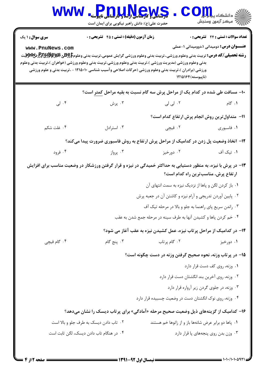| <b>WWW</b>                                                                            | <b>PDULLEWS</b><br>حضرت علی(ع): دانش راهبر نیکویی برای ایمان است                                                                                                                                                                                                                                                                                                                             |                                                                                                                                                                             | أأأ مركز آزمون وسنجش                                                                             |  |  |
|---------------------------------------------------------------------------------------|----------------------------------------------------------------------------------------------------------------------------------------------------------------------------------------------------------------------------------------------------------------------------------------------------------------------------------------------------------------------------------------------|-----------------------------------------------------------------------------------------------------------------------------------------------------------------------------|--------------------------------------------------------------------------------------------------|--|--|
| <b>سری سوال : ۱ یک</b><br>www.PnuNews.com                                             | زمان آزمون (دقیقه) : تستی : ۴۵ آتشریحی : 0<br><b>رشته تحصیلی/کد درس:</b> تربیت بدنی وعلوم ورزشی.،تربیت بدنی وعلوم ورزشی گرایش عمومی،تربیت بدنی وعلوم\$BRU و PRHH و PHH<br>بدنی وعلوم ورزشی (مدیریت ورزشی )،تربیت بدنی وعلوم ورزشی،تربیت بدنی وعلوم ورزشی (خواهران )،تربیت بدنی وعلوم<br>ورزشی (برادران )،تربیت بدنی وعلوم ورزشی (حرکات اصلاحی وآسیب شناسی ۱۲۱۵۰۱۰ - ،تربیت بدنی و علوم ورزشی | (ناپیوسته) ۱۲۱۵۱۶۴                                                                                                                                                          | <b>تعداد سوالات : تستی : 24 ۔ تشریحی : 0</b><br><b>عنـــوان درس:</b> دومیدانی ۱،دوومیدانی ۱-عملی |  |  |
|                                                                                       | ۱۰- مسافت طی شده در کدام یک از مراحل پرش سه گام نسبت به بقیه مراحل کمتر است؟                                                                                                                                                                                                                                                                                                                 |                                                                                                                                                                             |                                                                                                  |  |  |
| ۰۴ لی                                                                                 | ۰۳ پرش                                                                                                                                                                                                                                                                                                                                                                                       | ۲. لی لی                                                                                                                                                                    | ۰۱ گام                                                                                           |  |  |
|                                                                                       |                                                                                                                                                                                                                                                                                                                                                                                              | 11- متداول ترين روش انجام پرش ارتفاع كدام است؟                                                                                                                              |                                                                                                  |  |  |
| ۰۴ غلت شکم                                                                            | ۰۳ استرادل                                                                                                                                                                                                                                                                                                                                                                                   | ۱. فاسبوری مسیس در تصبیحی است.                                                                                                                                              |                                                                                                  |  |  |
| ۱۲- اتخاذ وضعیت پل زدن در کدامیک از مراحل پرش ارتفاع به روش فاسبوری ضرورت پیدا میکند؟ |                                                                                                                                                                                                                                                                                                                                                                                              |                                                                                                                                                                             |                                                                                                  |  |  |
| ۰۴ فرود                                                                               | برواز $\cdot$ ۳ .                                                                                                                                                                                                                                                                                                                                                                            | ۰۲ دورخيز                                                                                                                                                                   | ۰۱ تیک آف                                                                                        |  |  |
|                                                                                       | ۱۳– در پرش با نیزه، به منظور دستیابی به حداکثر خمیدگی در نیزه و قرار گرفتن ورزشکار در وضعیت مناسب برای افزایش                                                                                                                                                                                                                                                                                | ۰۱ باز کردن لگن و پاها از نزدیک نیزه به سمت انتهای آن<br>۰۲ پایین آوردن تدریجی و آرام نیزه و کاشتن آن در جعبه پرش<br>۰۳ راندن سریع پای راهنما به جلو و بالا در مرحله تیک آف | ارتفاع پرش، مناسبترین راه کدام است؟                                                              |  |  |
|                                                                                       |                                                                                                                                                                                                                                                                                                                                                                                              | ۰۴ خم کردن پاها و کشیدن آنها به طرف سینه در مرحله جمع شدن به عقب                                                                                                            |                                                                                                  |  |  |
|                                                                                       |                                                                                                                                                                                                                                                                                                                                                                                              | ۱۴- در کدامیک از مراحل پرتاب نیزه، عمل کشیدن نیزه به عقب آغاز می شود؟                                                                                                       |                                                                                                  |  |  |
| ۰۴ گام قیچی                                                                           | ۰۳ پنج گام                                                                                                                                                                                                                                                                                                                                                                                   | ۰۲ گام پرتاب                                                                                                                                                                | ۰۱ دورخیز                                                                                        |  |  |
|                                                                                       |                                                                                                                                                                                                                                                                                                                                                                                              | ۱۵– در پرتاب وزنه، نحوه صحیح گرفتن وزنه در دست چگونه است؟                                                                                                                   |                                                                                                  |  |  |
|                                                                                       |                                                                                                                                                                                                                                                                                                                                                                                              |                                                                                                                                                                             | ٠١ وزنه، روى كف دست قرار دارد                                                                    |  |  |
|                                                                                       |                                                                                                                                                                                                                                                                                                                                                                                              | ٠٢ وزنه، روى آخرين بند انگشتان دست قرار دارد                                                                                                                                |                                                                                                  |  |  |
|                                                                                       |                                                                                                                                                                                                                                                                                                                                                                                              |                                                                                                                                                                             | ٠٣ وزنه، در جلوى گردن زير آرواره قرار دارد                                                       |  |  |
|                                                                                       |                                                                                                                                                                                                                                                                                                                                                                                              | ۰۴ وزنه، روی نوک انگشتان دست در وضعیت چسبیده قرار دارد                                                                                                                      |                                                                                                  |  |  |
|                                                                                       | ۱۶- کدامیک از گزینههای ذیل وضعیت صحیح مرحله «آمادگی» برای پرتاب دیسک را نشان میدهد؟                                                                                                                                                                                                                                                                                                          |                                                                                                                                                                             |                                                                                                  |  |  |
|                                                                                       | ۰۲ تاب دادن دیسک به طرف جلو و بالا است                                                                                                                                                                                                                                                                                                                                                       | ۰۱ پاها دو برابر عرض شانهها باز و از زانوها خم هستند                                                                                                                        |                                                                                                  |  |  |
|                                                                                       | ۰۴ در هنگام تاب دادن دیسک، لگن ثابت است                                                                                                                                                                                                                                                                                                                                                      |                                                                                                                                                                             | ۰۳ وزن بدن روی پنجههای پا قرار دارد                                                              |  |  |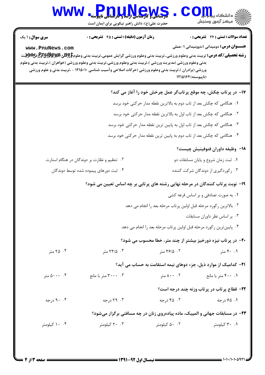|                                                                                | WWW Pnulley<br>حضرت علی(ع): دانش راهبر نیکویی برای ایمان است                                                                                                                                                                                                                                                                                                       |                                     | C Oill الشكاه ي <b>بابال</b><br>أأآت مركز آزمون وسنجش                        |  |  |
|--------------------------------------------------------------------------------|--------------------------------------------------------------------------------------------------------------------------------------------------------------------------------------------------------------------------------------------------------------------------------------------------------------------------------------------------------------------|-------------------------------------|------------------------------------------------------------------------------|--|--|
| <b>سری سوال :</b> ۱ یک                                                         | <b>زمان آزمون (دقیقه) : تستی : 45 گشریحی : 0</b>                                                                                                                                                                                                                                                                                                                   |                                     | <b>تعداد سوالات : تستی : 24 گشریحی : 0</b>                                   |  |  |
| www.PnuNews.com                                                                | <b>رشته تحصیلی/کد درس:</b> تربیت بدنی وعلوم ورزشی.،تربیت بدنی وعلوم ورزشی گرایش عمومی،تربیت بدنی وعلوم <del>[95% &amp; Pruy وPr</del> yyyبیت<br>بدنی وعلوم ورزشی (مدیریت ورزشی )،تربیت بدنی وعلوم ورزشی،تربیت بدنی وعلوم ورزشی (خواهران )،تربیت بدنی وعلوم<br>ورزشی (برادران )،تربیت بدنی وعلوم ورزشی (حرکات اصلاحی وآسیب شناسی ۱۲۱۵۰۱۰ - ،تربیت بدنی و علوم ورزشی |                                     | <b>عنـــوان درس:</b> دومیدانی ۱،دوومیدانی ۱-عملی<br>(ناپیوسته) ۱۲۱۵۱۶۴       |  |  |
|                                                                                |                                                                                                                                                                                                                                                                                                                                                                    |                                     | ۱۷- در پرتاب چکش، چه موقع پرتابگر عمل چرخش خود را آغاز می کند؟               |  |  |
| <b>۱.</b> هنگامی که چکش بعد از تاب دوم به بالاترین نقطه مدار حرکتی خود برسد    |                                                                                                                                                                                                                                                                                                                                                                    |                                     |                                                                              |  |  |
| ۰۲ هنگامی که چکش بعد از تاب اول به بالاترین نقطه مدار حرکتی خود برسد           |                                                                                                                                                                                                                                                                                                                                                                    |                                     |                                                                              |  |  |
| ۰۳ هنگامی که چکش بعد از تاب اول به پایین ترین نقطه مدار حرکتی خود برسد         |                                                                                                                                                                                                                                                                                                                                                                    |                                     |                                                                              |  |  |
|                                                                                |                                                                                                                                                                                                                                                                                                                                                                    |                                     | ۰۴ هنگامی که چکش بعد از تاب دوم به پایین ترین نقطه مدار حرکتی خود برسد       |  |  |
|                                                                                |                                                                                                                                                                                                                                                                                                                                                                    |                                     | 1۸– وظیفه داوران فتوفینیش چیست؟                                              |  |  |
| ۰۲ تنظیم و نظارت بر دوندگان در هنگام استارت                                    |                                                                                                                                                                                                                                                                                                                                                                    | ۰۱ ثبت زمان شروع و پایان مسابقات دو |                                                                              |  |  |
|                                                                                | ۰۴ ثبت دورهای پیموده شده توسط دوندگان                                                                                                                                                                                                                                                                                                                              |                                     | ۰۳ رکوردگیری از دوندگان شرکت کننده                                           |  |  |
| ۱۹- نوبت پرتاب کنندگان در مرحله نهایی رشته های پرتابی بر چه اساس تعیین می شود؟ |                                                                                                                                                                                                                                                                                                                                                                    |                                     |                                                                              |  |  |
|                                                                                | ۰۱ به صورت تصادفی و بر اساس قرعه کشی                                                                                                                                                                                                                                                                                                                               |                                     |                                                                              |  |  |
|                                                                                | ٠٢ بالاترين ركورد مرحله قبل اولين پرتاب مرحله بعد را انجام مي دهد                                                                                                                                                                                                                                                                                                  |                                     |                                                                              |  |  |
| ٠٣ بر اساس نظر داوران مسابقات                                                  |                                                                                                                                                                                                                                                                                                                                                                    |                                     |                                                                              |  |  |
| ۰۴ پایینترین رکورد مرحله قبل اولین پرتاب مرحله بعد را انجام می دهد             |                                                                                                                                                                                                                                                                                                                                                                    |                                     |                                                                              |  |  |
|                                                                                |                                                                                                                                                                                                                                                                                                                                                                    |                                     | ۲۰- در پرتاب نیزه دورخیز بیشتر از چند متر، خطا محسوب می شود؟                 |  |  |
| ۰۴ متر                                                                         | ۰۳ ه.سر                                                                                                                                                                                                                                                                                                                                                            | ۰۲ ۲۶/۵ متر                         | ۰.۱ ۴۰ متر                                                                   |  |  |
|                                                                                |                                                                                                                                                                                                                                                                                                                                                                    |                                     | <b>۲۱</b> - کدامیک از موارد ذیل، جزء دوهای نیمه استقامت به حساب می آید؟      |  |  |
| ۵۰۰۰ . ۴                                                                       | ۰۳ . ۳۰۰۰ متر با مانع                                                                                                                                                                                                                                                                                                                                              | ۰۰ ۸۰۰ متر                          | ۰۱ ۴۰۰ متر با مانع                                                           |  |  |
|                                                                                |                                                                                                                                                                                                                                                                                                                                                                    |                                     | 22- قطاع پرتاب در پرتاب وزنه چند درجه است؟                                   |  |  |
| ۰۴ درجه                                                                        | ۰۳ درجه                                                                                                                                                                                                                                                                                                                                                            | ۰۲ ۴۵ درجه                          | ۰۱ ۶۵ درجه                                                                   |  |  |
|                                                                                |                                                                                                                                                                                                                                                                                                                                                                    |                                     | ۲۳- در مسابقات جهانی و المپیک، ماده پیادهروی زنان در چه مسافتی برگزار میشود؟ |  |  |
| ۰۰ ۱۰ کیلومتر                                                                  | ۲۰ ۲۰ کیلومتر                                                                                                                                                                                                                                                                                                                                                      | ۰۰ کیلومتر                          | ۰۱ ۲۰ کیلومتر                                                                |  |  |